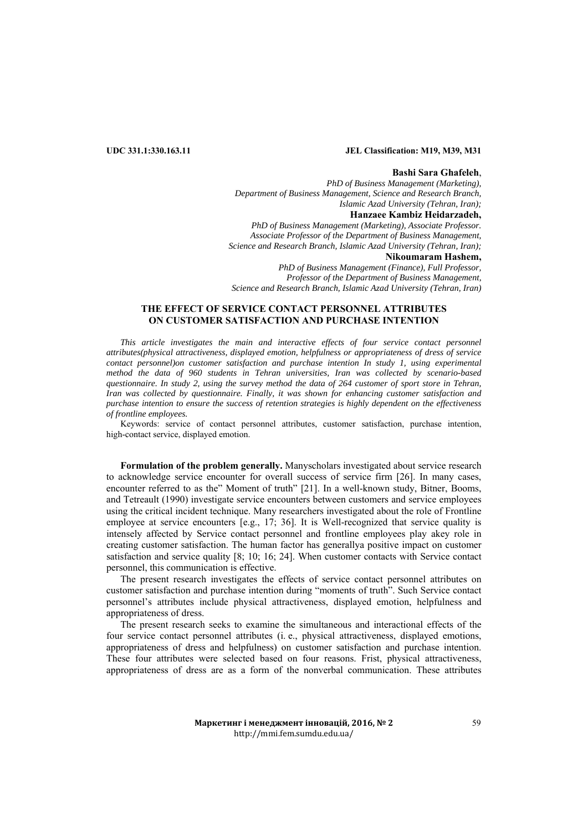## **UDC 331.1:330.163.11 JEL Classification: M19, M39, M31**

#### **Bashi Sara Ghafeleh**,

*PhD of Business Management (Marketing), Department of Business Management, Science and Research Branch, Islamic Azad University (Tehran, Iran);*  **Hanzaee Kambiz Heidarzadeh,**  *PhD of Business Management (Marketing), Associate Professor. Associate Professor of the Department of Business Management, Science and Research Branch, Islamic Azad University (Tehran, Iran);*  **Nikoumaram Hashem,** 

*PhD of Business Management (Finance), Full Professor, Professor of the Department of Business Management, Science and Research Branch, Islamic Azad University (Tehran, Iran)* 

# **THE EFFECT OF SERVICE CONTACT PERSONNEL ATTRIBUTES ON CUSTOMER SATISFACTION AND PURCHASE INTENTION**

This article investigates the main and interactive effects of four service contact personnel *attributes(physical attractiveness, displayed emotion, helpfulness or appropriateness of dress of service contact personnel)on customer satisfaction and purchase intention In study 1, using experimental method the data of 960 students in Tehran universities, Iran was collected by scenario-based questionnaire. In study 2, using the survey method the data of 264 customer of sport store in Tehran, Iran was collected by questionnaire. Finally, it was shown for enhancing customer satisfaction and purchase intention to ensure the success of retention strategies is highly dependent on the effectiveness of frontline employees.* 

Keywords: service of contact personnel attributes, customer satisfaction, purchase intention, high-contact service, displayed emotion.

**Formulation of the problem generally.** Manyscholars investigated about service research to acknowledge service encounter for overall success of service firm [26]. In many cases, encounter referred to as the" Moment of truth" [21]. In a well-known study, Bitner, Booms, and Tetreault (1990) investigate service encounters between customers and service employees using the critical incident technique. Many researchers investigated about the role of Frontline employee at service encounters [e.g., 17; 36]. It is Well-recognized that service quality is intensely affected by Service contact personnel and frontline employees play akey role in creating customer satisfaction. The human factor has generallya positive impact on customer satisfaction and service quality [8; 10; 16; 24]. When customer contacts with Service contact personnel, this communication is effective.

The present research investigates the effects of service contact personnel attributes on customer satisfaction and purchase intention during "moments of truth". Such Service contact personnel's attributes include physical attractiveness, displayed emotion, helpfulness and appropriateness of dress.

The present research seeks to examine the simultaneous and interactional effects of the four service contact personnel attributes (i. e., physical attractiveness, displayed emotions, appropriateness of dress and helpfulness) on customer satisfaction and purchase intention. These four attributes were selected based on four reasons. Frist, physical attractiveness, appropriateness of dress are as a form of the nonverbal communication. These attributes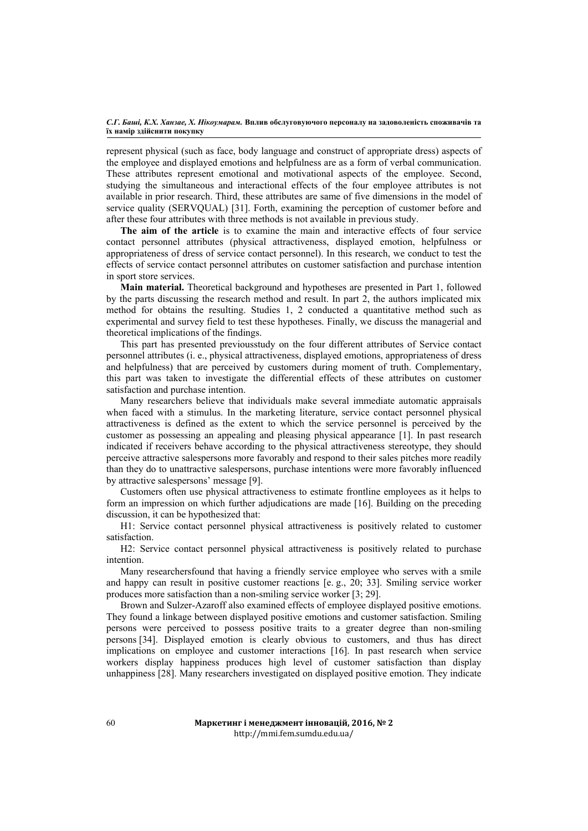represent physical (such as face, body language and construct of appropriate dress) aspects of the employee and displayed emotions and helpfulness are as a form of verbal communication. These attributes represent emotional and motivational aspects of the employee. Second, studying the simultaneous and interactional effects of the four employee attributes is not available in prior research. Third, these attributes are same of five dimensions in the model of service quality (SERVQUAL) [31]. Forth, examining the perception of customer before and after these four attributes with three methods is not available in previous study.

**The aim of the article** is to examine the main and interactive effects of four service contact personnel attributes (physical attractiveness, displayed emotion, helpfulness or appropriateness of dress of service contact personnel). In this research, we conduct to test the effects of service contact personnel attributes on customer satisfaction and purchase intention in sport store services.

**Main material.** Theoretical background and hypotheses are presented in Part 1, followed by the parts discussing the research method and result. In part 2, the authors implicated mix method for obtains the resulting. Studies 1, 2 conducted a quantitative method such as experimental and survey field to test these hypotheses. Finally, we discuss the managerial and theoretical implications of the findings.

This part has presented previousstudy on the four different attributes of Service contact personnel attributes (i. e., physical attractiveness, displayed emotions, appropriateness of dress and helpfulness) that are perceived by customers during moment of truth. Complementary, this part was taken to investigate the differential effects of these attributes on customer satisfaction and purchase intention.

Many researchers believe that individuals make several immediate automatic appraisals when faced with a stimulus. In the marketing literature, service contact personnel physical attractiveness is defined as the extent to which the service personnel is perceived by the customer as possessing an appealing and pleasing physical appearance [1]. In past research indicated if receivers behave according to the physical attractiveness stereotype, they should perceive attractive salespersons more favorably and respond to their sales pitches more readily than they do to unattractive salespersons, purchase intentions were more favorably influenced by attractive salespersons' message [9].

Customers often use physical attractiveness to estimate frontline employees as it helps to form an impression on which further adjudications are made [16]. Building on the preceding discussion, it can be hypothesized that:

H1: Service contact personnel physical attractiveness is positively related to customer satisfaction.

H2: Service contact personnel physical attractiveness is positively related to purchase intention.

Many researchersfound that having a friendly service employee who serves with a smile and happy can result in positive customer reactions [e. g., 20; 33]. Smiling service worker produces more satisfaction than a non-smiling service worker [3; 29].

Brown and Sulzer-Azaroff also examined effects of employee displayed positive emotions. They found a linkage between displayed positive emotions and customer satisfaction. Smiling persons were perceived to possess positive traits to a greater degree than non-smiling persons [34]. Displayed emotion is clearly obvious to customers, and thus has direct implications on employee and customer interactions [16]. In past research when service workers display happiness produces high level of customer satisfaction than display unhappiness [28]. Many researchers investigated on displayed positive emotion. They indicate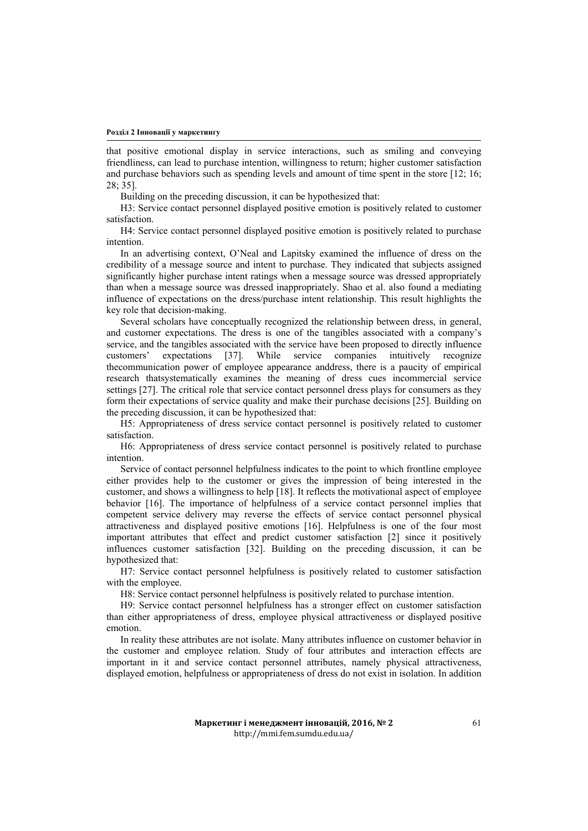that positive emotional display in service interactions, such as smiling and conveying friendliness, can lead to purchase intention, willingness to return; higher customer satisfaction and purchase behaviors such as spending levels and amount of time spent in the store [12; 16; 28; 35].

Building on the preceding discussion, it can be hypothesized that:

H3: Service contact personnel displayed positive emotion is positively related to customer satisfaction.

H4: Service contact personnel displayed positive emotion is positively related to purchase intention.

In an advertising context, O'Neal and Lapitsky examined the influence of dress on the credibility of a message source and intent to purchase. They indicated that subjects assigned significantly higher purchase intent ratings when a message source was dressed appropriately than when a message source was dressed inappropriately. Shao et al. also found a mediating influence of expectations on the dress/purchase intent relationship. This result highlights the key role that decision-making.

Several scholars have conceptually recognized the relationship between dress, in general, and customer expectations. The dress is one of the tangibles associated with a company's service, and the tangibles associated with the service have been proposed to directly influence customers' expectations [37]. While service companies intuitively recognize thecommunication power of employee appearance anddress, there is a paucity of empirical research thatsystematically examines the meaning of dress cues incommercial service settings [27]. The critical role that service contact personnel dress plays for consumers as they form their expectations of service quality and make their purchase decisions [25]. Building on the preceding discussion, it can be hypothesized that:

H5: Appropriateness of dress service contact personnel is positively related to customer satisfaction.

H6: Appropriateness of dress service contact personnel is positively related to purchase intention.

Service of contact personnel helpfulness indicates to the point to which frontline employee either provides help to the customer or gives the impression of being interested in the customer, and shows a willingness to help [18]. It reflects the motivational aspect of employee behavior [16]. The importance of helpfulness of a service contact personnel implies that competent service delivery may reverse the effects of service contact personnel physical attractiveness and displayed positive emotions [16]. Helpfulness is one of the four most important attributes that effect and predict customer satisfaction [2] since it positively influences customer satisfaction [32]. Building on the preceding discussion, it can be hypothesized that:

H7: Service contact personnel helpfulness is positively related to customer satisfaction with the employee.

H8: Service contact personnel helpfulness is positively related to purchase intention.

H9: Service contact personnel helpfulness has a stronger effect on customer satisfaction than either appropriateness of dress, employee physical attractiveness or displayed positive emotion.

In reality these attributes are not isolate. Many attributes influence on customer behavior in the customer and employee relation. Study of four attributes and interaction effects are important in it and service contact personnel attributes, namely physical attractiveness, displayed emotion, helpfulness or appropriateness of dress do not exist in isolation. In addition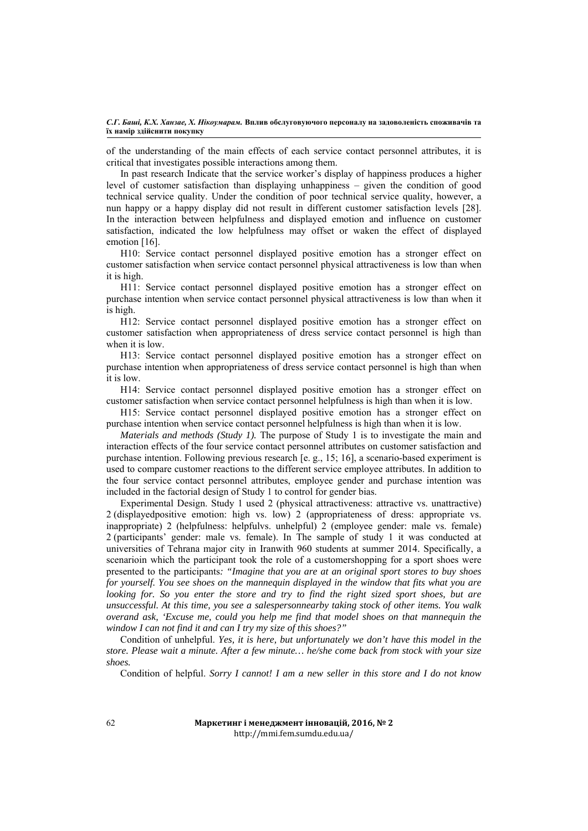of the understanding of the main effects of each service contact personnel attributes, it is critical that investigates possible interactions among them.

In past research Indicate that the service worker's display of happiness produces a higher level of customer satisfaction than displaying unhappiness – given the condition of good technical service quality. Under the condition of poor technical service quality, however, a nun happy or a happy display did not result in different customer satisfaction levels [28]. In the interaction between helpfulness and displayed emotion and influence on customer satisfaction, indicated the low helpfulness may offset or waken the effect of displayed emotion [16].

H10: Service contact personnel displayed positive emotion has a stronger effect on customer satisfaction when service contact personnel physical attractiveness is low than when it is high.

H11: Service contact personnel displayed positive emotion has a stronger effect on purchase intention when service contact personnel physical attractiveness is low than when it is high.

H12: Service contact personnel displayed positive emotion has a stronger effect on customer satisfaction when appropriateness of dress service contact personnel is high than when it is low.

H13: Service contact personnel displayed positive emotion has a stronger effect on purchase intention when appropriateness of dress service contact personnel is high than when it is low.

H14: Service contact personnel displayed positive emotion has a stronger effect on customer satisfaction when service contact personnel helpfulness is high than when it is low.

H15: Service contact personnel displayed positive emotion has a stronger effect on purchase intention when service contact personnel helpfulness is high than when it is low.

*Materials and methods (Study 1).* The purpose of Study 1 is to investigate the main and interaction effects of the four service contact personnel attributes on customer satisfaction and purchase intention. Following previous research [e. g., 15; 16], a scenario-based experiment is used to compare customer reactions to the different service employee attributes. In addition to the four service contact personnel attributes, employee gender and purchase intention was included in the factorial design of Study 1 to control for gender bias.

Experimental Design. Study 1 used 2 (physical attractiveness: attractive vs. unattractive) 2 (displayedpositive emotion: high vs. low) 2 (appropriateness of dress: appropriate vs. inappropriate) 2 (helpfulness: helpfulvs. unhelpful) 2 (employee gender: male vs. female) 2 (participants' gender: male vs. female). In The sample of study 1 it was conducted at universities of Tehrana major city in Iranwith 960 students at summer 2014. Specifically, a scenarioin which the participant took the role of a customershopping for a sport shoes were presented to the participants*: "Imagine that you are at an original sport stores to buy shoes for yourself. You see shoes on the mannequin displayed in the window that fits what you are looking for. So you enter the store and try to find the right sized sport shoes, but are unsuccessful. At this time, you see a salespersonnearby taking stock of other items. You walk overand ask, 'Excuse me, could you help me find that model shoes on that mannequin the window I can not find it and can I try my size of this shoes?"*

Condition of unhelpful. *Yes, it is here, but unfortunately we don't have this model in the store. Please wait a minute. After a few minute… he/she come back from stock with your size shoes.* 

Condition of helpful. *Sorry I cannot! I am a new seller in this store and I do not know*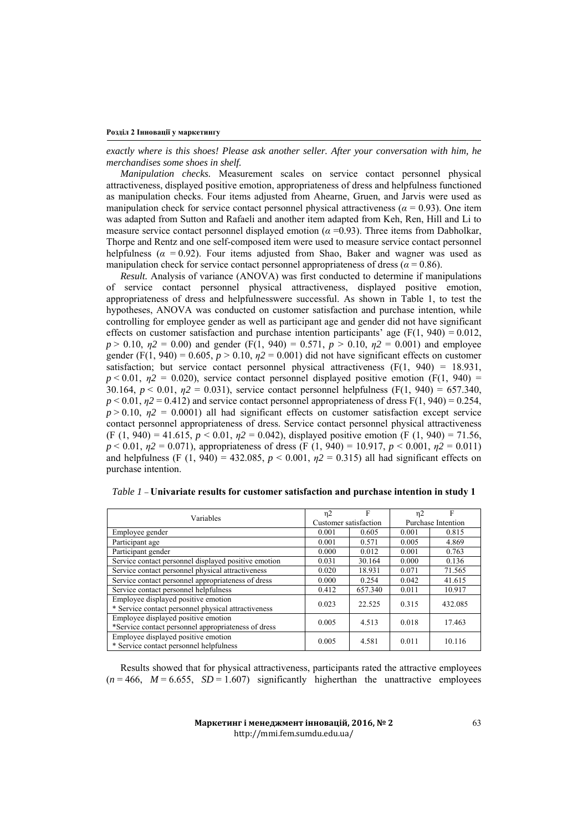*exactly where is this shoes! Please ask another seller. After your conversation with him, he merchandises some shoes in shelf.* 

*Manipulation checks.* Measurement scales on service contact personnel physical attractiveness, displayed positive emotion, appropriateness of dress and helpfulness functioned as manipulation checks. Four items adjusted from Ahearne, Gruen, and Jarvis were used as manipulation check for service contact personnel physical attractiveness ( $\alpha$  = 0.93). One item was adapted from Sutton and Rafaeli and another item adapted from Keh, Ren, Hill and Li to measure service contact personnel displayed emotion (*α* =0.93). Three items from Dabholkar, Thorpe and Rentz and one self-composed item were used to measure service contact personnel helpfulness (*α* = 0.92). Four items adjusted from Shao, Baker and wagner was used as manipulation check for service contact personnel appropriateness of dress ( $\alpha$  = 0.86).

*Result.* Analysis of variance (ANOVA) was first conducted to determine if manipulations of service contact personnel physical attractiveness, displayed positive emotion, appropriateness of dress and helpfulnesswere successful. As shown in Table 1, to test the hypotheses, ANOVA was conducted on customer satisfaction and purchase intention, while controlling for employee gender as well as participant age and gender did not have significant effects on customer satisfaction and purchase intention participants' age  $(F(1, 940) = 0.012$ , *p* > 0.10,  $\eta$ <sup>2</sup> = 0.00) and gender (F(1, 940) = 0.571, *p* > 0.10,  $\eta$ <sup>2</sup> = 0.001) and employee gender (F(1, 940) = 0.605,  $p > 0.10$ ,  $p<sub>2</sub> = 0.001$ ) did not have significant effects on customer satisfaction; but service contact personnel physical attractiveness  $(F(1, 940) = 18.931$ ,  $p < 0.01$ ,  $\eta$ 2 = 0.020), service contact personnel displayed positive emotion (F(1, 940) = 30.164, *p* < 0.01, *η2* = 0.031), service contact personnel helpfulness (F(1, 940) = 657.340,  $p < 0.01$ ,  $p<sub>2</sub> = 0.412$ ) and service contact personnel appropriateness of dress F(1, 940) = 0.254,  $p > 0.10$ ,  $p2 = 0.0001$ ) all had significant effects on customer satisfaction except service contact personnel appropriateness of dress. Service contact personnel physical attractiveness (F (1, 940) = 41.615, *p* < 0.01, *η2* = 0.042), displayed positive emotion (F (1, 940) = 71.56, *p* < 0.01, *η2* = 0.071), appropriateness of dress (F (1, 940) = 10.917, *p* < 0.001, *η2* = 0.011) and helpfulness (F (1, 940) = 432.085,  $p < 0.001$ ,  $p2 = 0.315$ ) all had significant effects on purchase intention.

| Variables                                                                                  | η2                    | F       | η2                 |         |
|--------------------------------------------------------------------------------------------|-----------------------|---------|--------------------|---------|
|                                                                                            | Customer satisfaction |         | Purchase Intention |         |
| Employee gender                                                                            | 0.001                 | 0.605   | 0.001              | 0.815   |
| Participant age                                                                            | 0.001                 | 0.571   | 0.005              | 4.869   |
| Participant gender                                                                         | 0.000                 | 0.012   | 0.001              | 0.763   |
| Service contact personnel displayed positive emotion                                       | 0.031                 | 30.164  | 0.000              | 0.136   |
| Service contact personnel physical attractiveness                                          | 0.020                 | 18.931  | 0.071              | 71.565  |
| Service contact personnel appropriateness of dress                                         | 0.000                 | 0.254   | 0.042              | 41.615  |
| Service contact personnel helpfulness                                                      | 0.412                 | 657.340 | 0.011              | 10.917  |
| Employee displayed positive emotion<br>* Service contact personnel physical attractiveness | 0.023                 | 22.525  | 0.315              | 432.085 |
| Employee displayed positive emotion<br>*Service contact personnel appropriateness of dress | 0.005                 | 4.513   | 0.018              | 17.463  |
| Employee displayed positive emotion<br>* Service contact personnel helpfulness             | 0.005                 | 4.581   | 0.011              | 10.116  |

| <i>Table 1</i> – Univariate results for customer satisfaction and purchase intention in study 1 |
|-------------------------------------------------------------------------------------------------|
|-------------------------------------------------------------------------------------------------|

Results showed that for physical attractiveness, participants rated the attractive employees  $(n = 466, M = 6.655, SD = 1.607)$  significantly higherthan the unattractive employees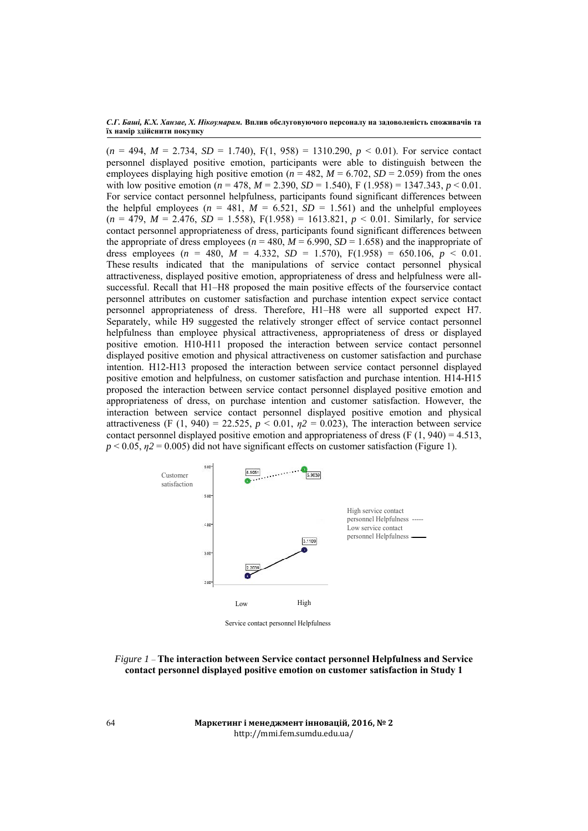$(n = 494, M = 2.734, SD = 1.740), F(1, 958) = 1310.290, p < 0.01$ . For service contact personnel displayed positive emotion, participants were able to distinguish between the employees displaying high positive emotion ( $n = 482$ ,  $M = 6.702$ ,  $SD = 2.059$ ) from the ones with low positive emotion ( $n = 478$ ,  $M = 2.390$ ,  $SD = 1.540$ ),  $F(1.958) = 1347.343$ ,  $p < 0.01$ . For service contact personnel helpfulness, participants found significant differences between the helpful employees ( $n = 481$ ,  $M = 6.521$ ,  $SD = 1.561$ ) and the unhelpful employees  $(n = 479, M = 2.476, SD = 1.558), F(1.958) = 1613.821, p < 0.01$ . Similarly, for service contact personnel appropriateness of dress, participants found significant differences between the appropriate of dress employees ( $n = 480$ ,  $M = 6.990$ ,  $SD = 1.658$ ) and the inappropriate of dress employees (*n* = 480,  $M = 4.332$ ,  $SD = 1.570$ ),  $F(1.958) = 650.106$ ,  $p < 0.01$ . These results indicated that the manipulations of service contact personnel physical attractiveness, displayed positive emotion, appropriateness of dress and helpfulness were allsuccessful. Recall that H1–H8 proposed the main positive effects of the fourservice contact personnel attributes on customer satisfaction and purchase intention expect service contact personnel appropriateness of dress. Therefore, H1–H8 were all supported expect H7. Separately, while H9 suggested the relatively stronger effect of service contact personnel helpfulness than employee physical attractiveness, appropriateness of dress or displayed positive emotion. H10-H11 proposed the interaction between service contact personnel displayed positive emotion and physical attractiveness on customer satisfaction and purchase intention. H12-H13 proposed the interaction between service contact personnel displayed positive emotion and helpfulness, on customer satisfaction and purchase intention. H14-H15 proposed the interaction between service contact personnel displayed positive emotion and appropriateness of dress, on purchase intention and customer satisfaction. However, the interaction between service contact personnel displayed positive emotion and physical attractiveness (F (1, 940) = 22.525, *p* < 0.01, *η2* = 0.023), The interaction between service contact personnel displayed positive emotion and appropriateness of dress  $(F(1, 940) = 4.513)$ ,  $p < 0.05$ ,  $n/2 = 0.005$ ) did not have significant effects on customer satisfaction (Figure 1).



*Figure 1* – **The interaction between Service contact personnel Helpfulness and Service contact personnel displayed positive emotion on customer satisfaction in Study 1** 

**Маркетинг і менеджмент інновацій, 2016, № 2** http://mmi.fem.sumdu.edu.ua/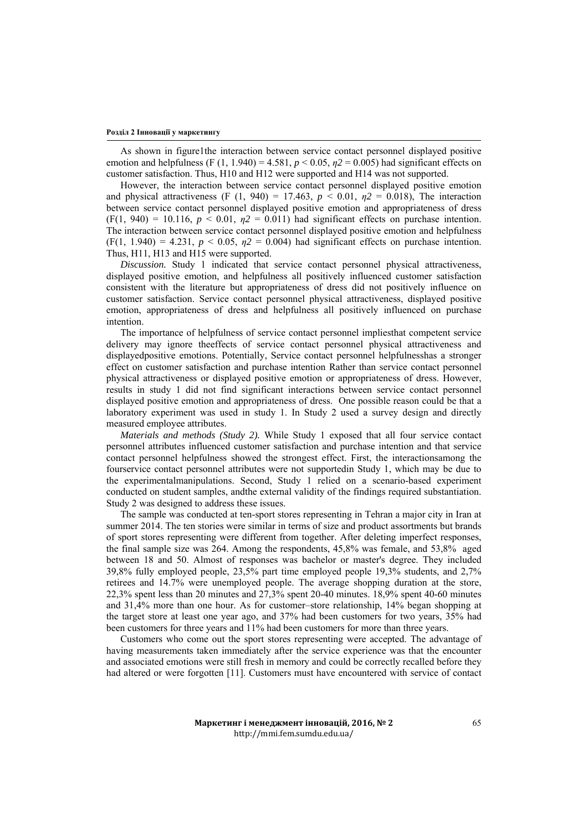As shown in figure1the interaction between service contact personnel displayed positive emotion and helpfulness (F (1, 1.940) = 4.581,  $p < 0.05$ ,  $n/2 = 0.005$ ) had significant effects on customer satisfaction. Thus, H10 and H12 were supported and H14 was not supported.

However, the interaction between service contact personnel displayed positive emotion and physical attractiveness (F (1, 940) = 17.463,  $p < 0.01$ ,  $p2 = 0.018$ ), The interaction between service contact personnel displayed positive emotion and appropriateness of dress  $(F(1, 940) = 10.116$ ,  $p < 0.01$ ,  $p(2) = 0.011$ ) had significant effects on purchase intention. The interaction between service contact personnel displayed positive emotion and helpfulness  $(F(1, 1.940) = 4.231, p < 0.05, \eta^2 = 0.004)$  had significant effects on purchase intention. Thus, H11, H13 and H15 were supported.

*Discussion.* Study 1 indicated that service contact personnel physical attractiveness, displayed positive emotion, and helpfulness all positively influenced customer satisfaction consistent with the literature but appropriateness of dress did not positively influence on customer satisfaction. Service contact personnel physical attractiveness, displayed positive emotion, appropriateness of dress and helpfulness all positively influenced on purchase intention.

The importance of helpfulness of service contact personnel impliesthat competent service delivery may ignore theeffects of service contact personnel physical attractiveness and displayedpositive emotions. Potentially, Service contact personnel helpfulnesshas a stronger effect on customer satisfaction and purchase intention Rather than service contact personnel physical attractiveness or displayed positive emotion or appropriateness of dress. However, results in study 1 did not find significant interactions between service contact personnel displayed positive emotion and appropriateness of dress. One possible reason could be that a laboratory experiment was used in study 1. In Study 2 used a survey design and directly measured employee attributes.

*Materials and methods (Study 2).* While Study 1 exposed that all four service contact personnel attributes influenced customer satisfaction and purchase intention and that service contact personnel helpfulness showed the strongest effect. First, the interactionsamong the fourservice contact personnel attributes were not supportedin Study 1, which may be due to the experimentalmanipulations. Second, Study 1 relied on a scenario-based experiment conducted on student samples, andthe external validity of the findings required substantiation. Study 2 was designed to address these issues.

The sample was conducted at ten-sport stores representing in Tehran a major city in Iran at summer 2014. The ten stories were similar in terms of size and product assortments but brands of sport stores representing were different from together. After deleting imperfect responses, the final sample size was 264. Among the respondents, 45,8% was female, and 53,8% aged between 18 and 50. Almost of responses was bachelor or master's degree. They included 39,8% fully employed people, 23,5% part time employed people 19,3% students, and 2,7% retirees and 14.7% were unemployed people. The average shopping duration at the store, 22,3% spent less than 20 minutes and 27,3% spent 20-40 minutes. 18,9% spent 40-60 minutes and 31,4% more than one hour. As for customer–store relationship, 14% began shopping at the target store at least one year ago, and 37% had been customers for two years, 35% had been customers for three years and 11% had been customers for more than three years.

Customers who come out the sport stores representing were accepted. The advantage of having measurements taken immediately after the service experience was that the encounter and associated emotions were still fresh in memory and could be correctly recalled before they had altered or were forgotten [11]. Customers must have encountered with service of contact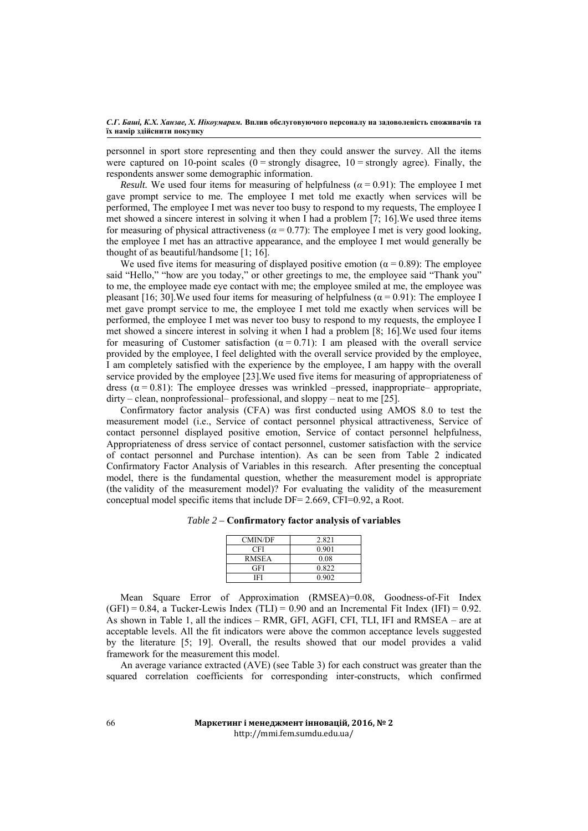personnel in sport store representing and then they could answer the survey. All the items were captured on 10-point scales  $(0 =$  strongly disagree,  $10 =$  strongly agree). Finally, the respondents answer some demographic information.

*Result.* We used four items for measuring of helpfulness  $(a = 0.91)$ : The employee I met gave prompt service to me. The employee I met told me exactly when services will be performed, The employee I met was never too busy to respond to my requests, The employee I met showed a sincere interest in solving it when I had a problem [7; 16].We used three items for measuring of physical attractiveness ( $\alpha = 0.77$ ): The employee I met is very good looking, the employee I met has an attractive appearance, and the employee I met would generally be thought of as beautiful/handsome [1; 16].

We used five items for measuring of displayed positive emotion ( $\alpha$  = 0.89): The employee said "Hello," "how are you today," or other greetings to me, the employee said "Thank you" to me, the employee made eye contact with me; the employee smiled at me, the employee was pleasant [16; 30].We used four items for measuring of helpfulness ( $\alpha$  = 0.91): The employee I met gave prompt service to me, the employee I met told me exactly when services will be performed, the employee I met was never too busy to respond to my requests, the employee I met showed a sincere interest in solving it when I had a problem [8; 16].We used four items for measuring of Customer satisfaction ( $\alpha = 0.71$ ): I am pleased with the overall service provided by the employee, I feel delighted with the overall service provided by the employee, I am completely satisfied with the experience by the employee, I am happy with the overall service provided by the employee [23].We used five items for measuring of appropriateness of dress ( $\alpha$  = 0.81): The employee dresses was wrinkled –pressed, inappropriate– appropriate, dirty – clean, nonprofessional– professional, and sloppy – neat to me [25].

Confirmatory factor analysis (CFA) was first conducted using AMOS 8.0 to test the measurement model (i.e., Service of contact personnel physical attractiveness, Service of contact personnel displayed positive emotion, Service of contact personnel helpfulness, Appropriateness of dress service of contact personnel, customer satisfaction with the service of contact personnel and Purchase intention). As can be seen from Table 2 indicated Confirmatory Factor Analysis of Variables in this research. After presenting the conceptual model, there is the fundamental question, whether the measurement model is appropriate (the validity of the measurement model)? For evaluating the validity of the measurement conceptual model specific items that include DF= 2.669, CFI=0.92, a Root.

| <b>CMIN/DF</b> | 2.821 |
|----------------|-------|
| CFI            | 0.901 |
| <b>RMSEA</b>   | 0.08  |
| <b>GFI</b>     | 0.822 |
| IFI            | 0.902 |
|                |       |

Mean Square Error of Approximation (RMSEA)=0.08, Goodness-of-Fit Index  $(GFI) = 0.84$ , a Tucker-Lewis Index  $(TLI) = 0.90$  and an Incremental Fit Index  $(IFI) = 0.92$ . As shown in Table 1, all the indices – RMR, GFI, AGFI, CFI, TLI, IFI and RMSEA – are at acceptable levels. All the fit indicators were above the common acceptance levels suggested by the literature [5; 19]. Overall, the results showed that our model provides a valid framework for the measurement this model.

An average variance extracted (AVE) (see Table 3) for each construct was greater than the squared correlation coefficients for corresponding inter-constructs, which confirmed

## **Маркетинг і менеджмент інновацій, 2016, № 2** http://mmi.fem.sumdu.edu.ua/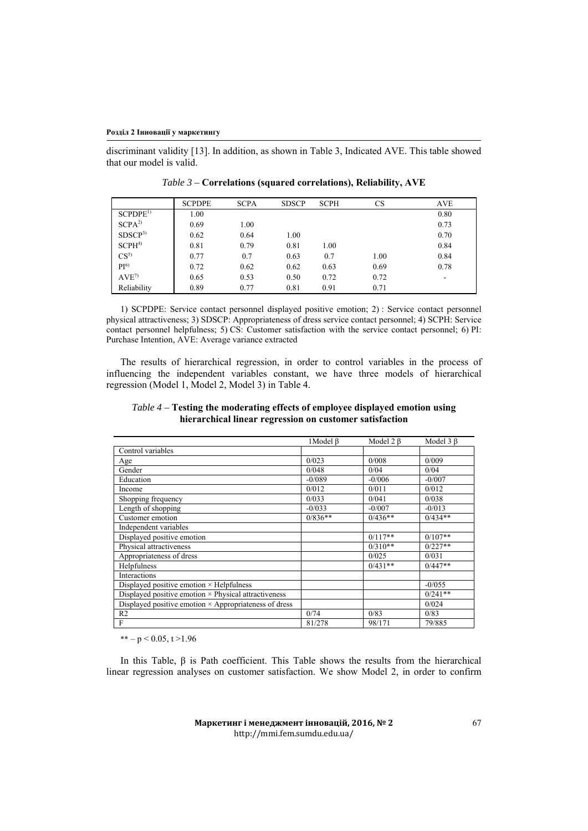discriminant validity [13]. In addition, as shown in Table 3, Indicated AVE. This table showed that our model is valid.

|                     | <b>SCPDPE</b> | <b>SCPA</b> | <b>SDSCP</b> | <b>SCPH</b> | <b>CS</b> | AVE  |
|---------------------|---------------|-------------|--------------|-------------|-----------|------|
| SCPDPE <sup>1</sup> | 1.00          |             |              |             |           | 0.80 |
| SCPA <sup>2</sup>   | 0.69          | 1.00        |              |             |           | 0.73 |
| SDSCP <sup>3</sup>  | 0.62          | 0.64        | 1.00         |             |           | 0.70 |
| SCPH <sup>4</sup>   | 0.81          | 0.79        | 0.81         | 1.00        |           | 0.84 |
| $CS^5$              | 0.77          | 0.7         | 0.63         | 0.7         | 1.00      | 0.84 |
| PI <sup>6</sup>     | 0.72          | 0.62        | 0.62         | 0.63        | 0.69      | 0.78 |
| $AVE^{\gamma}$      | 0.65          | 0.53        | 0.50         | 0.72        | 0.72      | ۰    |
| Reliability         | 0.89          | 0.77        | 0.81         | 0.91        | 0.71      |      |

*Table 3 –* **Correlations (squared correlations), Reliability, AVE** 

1) SCPDPE: Service contact personnel displayed positive emotion; 2) : Service contact personnel physical attractiveness; 3) SDSCP: Appropriateness of dress service contact personnel; 4) SCPH: Service contact personnel helpfulness; 5) CS: Customer satisfaction with the service contact personnel; 6) PI: Purchase Intention, AVE: Average variance extracted

The results of hierarchical regression, in order to control variables in the process of influencing the independent variables constant, we have three models of hierarchical regression (Model 1, Model 2, Model 3) in Table 4.

# *Table 4 –* **Testing the moderating effects of employee displayed emotion using hierarchical linear regression on customer satisfaction**

|                                                              | 1Model B  | Model $2 \beta$ | Model $3 \beta$ |
|--------------------------------------------------------------|-----------|-----------------|-----------------|
| Control variables                                            |           |                 |                 |
| Age                                                          | 0/023     | 0/008           | 0/009           |
| Gender                                                       | 0/048     | 0/04            | 0/04            |
| Education                                                    | $-0/089$  | $-0/006$        | $-0/007$        |
| Income                                                       | 0/012     | 0/011           | 0/012           |
| Shopping frequency                                           | 0/033     | 0/041           | 0/038           |
| Length of shopping                                           | $-0/033$  | $-0/007$        | $-0/013$        |
| Customer emotion                                             | $0/836**$ | $0/436**$       | $0/434**$       |
| Independent variables                                        |           |                 |                 |
| Displayed positive emotion                                   |           | $0/117**$       | $0/107**$       |
| Physical attractiveness                                      |           | $0/310**$       | $0/227**$       |
| Appropriateness of dress                                     |           | 0/025           | 0/031           |
| Helpfulness                                                  |           | $0/431**$       | $0/447**$       |
| <b>Interactions</b>                                          |           |                 |                 |
| Displayed positive emotion × Helpfulness                     |           |                 | $-0/055$        |
| Displayed positive emotion × Physical attractiveness         |           |                 | $0/241**$       |
| Displayed positive emotion $\times$ Appropriateness of dress |           |                 | 0/024           |
| R <sub>2</sub>                                               | 0/74      | 0/83            | 0/83            |
| F                                                            | 81/278    | 98/171          | 79/885          |

\*\*  $-p < 0.05, t > 1.96$ 

In this Table,  $β$  is Path coefficient. This Table shows the results from the hierarchical linear regression analyses on customer satisfaction. We show Model 2, in order to confirm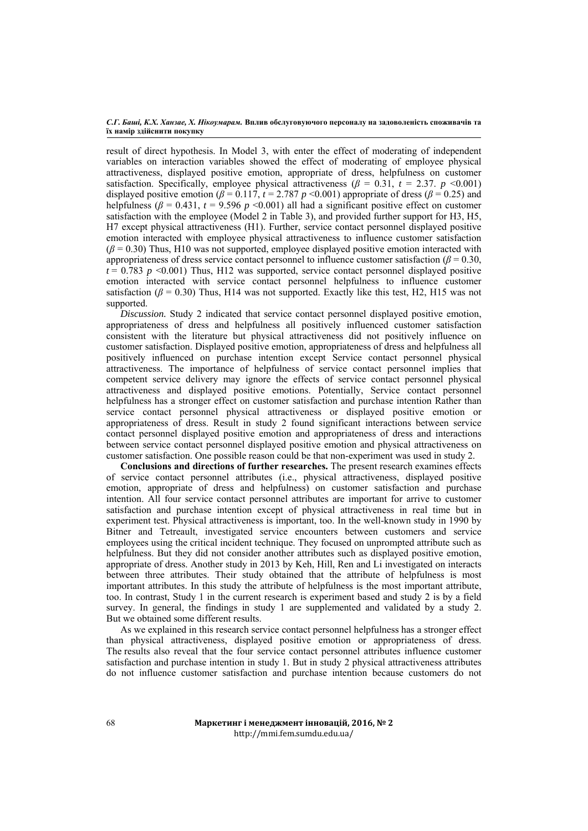result of direct hypothesis. In Model 3, with enter the effect of moderating of independent variables on interaction variables showed the effect of moderating of employee physical attractiveness, displayed positive emotion, appropriate of dress, helpfulness on customer satisfaction. Specifically, employee physical attractiveness  $(\beta = 0.31, t = 2.37, p \le 0.001)$ displayed positive emotion ( $\beta = 0.117$ ,  $t = 2.787$  *p* <0.001) appropriate of dress ( $\beta = 0.25$ ) and helpfulness  $(\beta = 0.431, t = 9.596 \, p \leq 0.001)$  all had a significant positive effect on customer satisfaction with the employee (Model 2 in Table 3), and provided further support for H3, H5, H7 except physical attractiveness (H1). Further, service contact personnel displayed positive emotion interacted with employee physical attractiveness to influence customer satisfaction  $(\beta = 0.30)$  Thus, H10 was not supported, employee displayed positive emotion interacted with appropriateness of dress service contact personnel to influence customer satisfaction ( $\beta$  = 0.30,  $t = 0.783$   $p \le 0.001$ ) Thus, H12 was supported, service contact personnel displayed positive emotion interacted with service contact personnel helpfulness to influence customer satisfaction ( $\beta$  = 0.30) Thus, H14 was not supported. Exactly like this test, H2, H15 was not supported.

*Discussion.* Study 2 indicated that service contact personnel displayed positive emotion, appropriateness of dress and helpfulness all positively influenced customer satisfaction consistent with the literature but physical attractiveness did not positively influence on customer satisfaction. Displayed positive emotion, appropriateness of dress and helpfulness all positively influenced on purchase intention except Service contact personnel physical attractiveness. The importance of helpfulness of service contact personnel implies that competent service delivery may ignore the effects of service contact personnel physical attractiveness and displayed positive emotions. Potentially, Service contact personnel helpfulness has a stronger effect on customer satisfaction and purchase intention Rather than service contact personnel physical attractiveness or displayed positive emotion or appropriateness of dress. Result in study 2 found significant interactions between service contact personnel displayed positive emotion and appropriateness of dress and interactions between service contact personnel displayed positive emotion and physical attractiveness on customer satisfaction. One possible reason could be that non-experiment was used in study 2.

**Conclusions and directions of further researches.** The present research examines effects of service contact personnel attributes (i.e., physical attractiveness, displayed positive emotion, appropriate of dress and helpfulness) on customer satisfaction and purchase intention. All four service contact personnel attributes are important for arrive to customer satisfaction and purchase intention except of physical attractiveness in real time but in experiment test. Physical attractiveness is important, too. In the well-known study in 1990 by Bitner and Tetreault, investigated service encounters between customers and service employees using the critical incident technique. They focused on unprompted attribute such as helpfulness. But they did not consider another attributes such as displayed positive emotion, appropriate of dress. Another study in 2013 by Keh, Hill, Ren and Li investigated on interacts between three attributes. Their study obtained that the attribute of helpfulness is most important attributes. In this study the attribute of helpfulness is the most important attribute, too. In contrast, Study 1 in the current research is experiment based and study 2 is by a field survey. In general, the findings in study 1 are supplemented and validated by a study 2. But we obtained some different results.

As we explained in this research service contact personnel helpfulness has a stronger effect than physical attractiveness, displayed positive emotion or appropriateness of dress. The results also reveal that the four service contact personnel attributes influence customer satisfaction and purchase intention in study 1. But in study 2 physical attractiveness attributes do not influence customer satisfaction and purchase intention because customers do not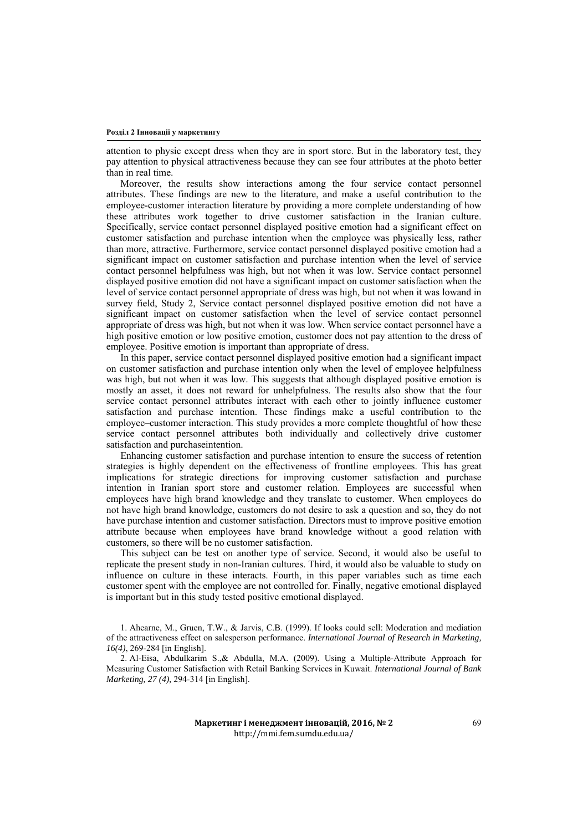attention to physic except dress when they are in sport store. But in the laboratory test, they pay attention to physical attractiveness because they can see four attributes at the photo better than in real time.

Moreover, the results show interactions among the four service contact personnel attributes. These findings are new to the literature, and make a useful contribution to the employee-customer interaction literature by providing a more complete understanding of how these attributes work together to drive customer satisfaction in the Iranian culture. Specifically, service contact personnel displayed positive emotion had a significant effect on customer satisfaction and purchase intention when the employee was physically less, rather than more, attractive. Furthermore, service contact personnel displayed positive emotion had a significant impact on customer satisfaction and purchase intention when the level of service contact personnel helpfulness was high, but not when it was low. Service contact personnel displayed positive emotion did not have a significant impact on customer satisfaction when the level of service contact personnel appropriate of dress was high, but not when it was lowand in survey field, Study 2, Service contact personnel displayed positive emotion did not have a significant impact on customer satisfaction when the level of service contact personnel appropriate of dress was high, but not when it was low. When service contact personnel have a high positive emotion or low positive emotion, customer does not pay attention to the dress of employee. Positive emotion is important than appropriate of dress.

In this paper, service contact personnel displayed positive emotion had a significant impact on customer satisfaction and purchase intention only when the level of employee helpfulness was high, but not when it was low. This suggests that although displayed positive emotion is mostly an asset, it does not reward for unhelpfulness. The results also show that the four service contact personnel attributes interact with each other to jointly influence customer satisfaction and purchase intention. These findings make a useful contribution to the employee–customer interaction. This study provides a more complete thoughtful of how these service contact personnel attributes both individually and collectively drive customer satisfaction and purchaseintention.

Enhancing customer satisfaction and purchase intention to ensure the success of retention strategies is highly dependent on the effectiveness of frontline employees. This has great implications for strategic directions for improving customer satisfaction and purchase intention in Iranian sport store and customer relation. Employees are successful when employees have high brand knowledge and they translate to customer. When employees do not have high brand knowledge, customers do not desire to ask a question and so, they do not have purchase intention and customer satisfaction. Directors must to improve positive emotion attribute because when employees have brand knowledge without a good relation with customers, so there will be no customer satisfaction.

This subject can be test on another type of service. Second, it would also be useful to replicate the present study in non-Iranian cultures. Third, it would also be valuable to study on influence on culture in these interacts. Fourth, in this paper variables such as time each customer spent with the employee are not controlled for. Finally, negative emotional displayed is important but in this study tested positive emotional displayed.

1. Ahearne, M., Gruen, T.W., & Jarvis, C.B. (1999). If looks could sell: Moderation and mediation of the attractiveness effect on salesperson performance. *International Journal of Research in Marketing, 16(4)*, 269-284 [in English].

2. Al-Eisa, Abdulkarim S.,& Abdulla, M.A. (2009). Using a Multiple-Attribute Approach for Measuring Customer Satisfaction with Retail Banking Services in Kuwait. *International Journal of Bank Marketing, 27 (4),* 294-314 [in English].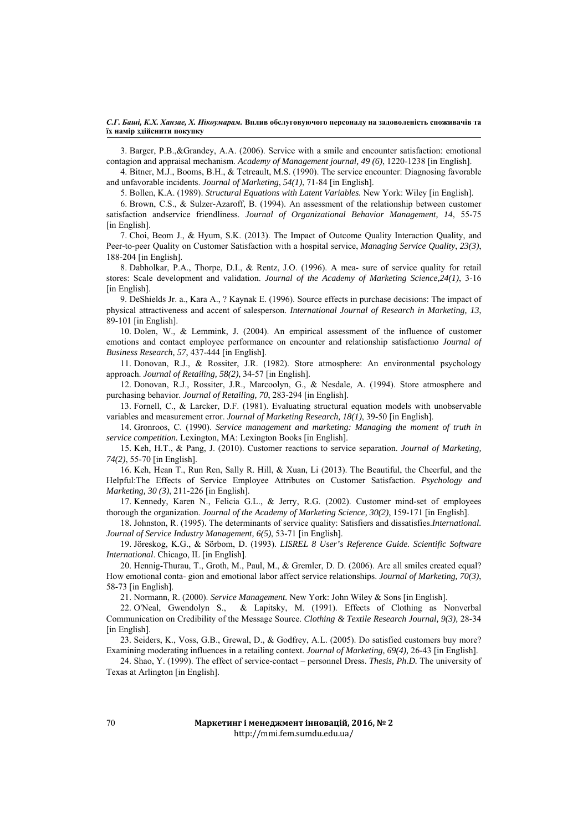3. Barger, P.B.,&Grandey, A.A. (2006). Service with a smile and encounter satisfaction: emotional contagion and appraisal mechanism. *Academy of Management journal, 49 (6)*, 1220-1238 [in English].

4. Bitner, M.J., Booms, B.H., & Tetreault, M.S. (1990). The service encounter: Diagnosing favorable and unfavorable incidents. *Journal of Marketing*, *54(1)*, 71-84 [in English].

5. Bollen, K.A. (1989). *Structural Equations with Latent Variables.* New York: Wiley [in English].

6. Brown, C.S., & Sulzer-Azaroff, B. (1994). An assessment of the relationship between customer satisfaction andservice friendliness. *Journal of Organizational Behavior Management, 14*, 55-75 [in English].

7. Choi, Beom J., & Hyum, S.K. (2013). The Impact of Outcome Quality Interaction Quality, and Peer-to-peer Quality on Customer Satisfaction with a hospital service, *Managing Service Quality*, *23(3)*, 188-204 [in English].

8. Dabholkar, P.A., Thorpe, D.I., & Rentz, J.O. (1996). A mea- sure of service quality for retail stores: Scale development and validation. *Journal of the Academy of Marketing Science,24(1)*, 3-16 [in English].

9. DeShields Jr. a., Kara A., ? Kaynak E. (1996). Source effects in purchase decisions: The impact of physical attractiveness and accent of salesperson. *International Journal of Research in Marketing, 13*, 89-101 [in English].

10. Dolen, W., & Lemmink, J. (2004). An empirical assessment of the influence of customer emotions and contact employee performance on encounter and relationship satisfactionю *Journal of Business Research, 57*, 437-444 [in English].

11. Donovan, R.J., & Rossiter, J.R. (1982). Store atmosphere: An environmental psychology approach. *Journal of Retailing, 58(2)*, 34-57 [in English].

12. Donovan, R.J., Rossiter, J.R., Marcoolyn, G., & Nesdale, A. (1994). Store atmosphere and purchasing behavior. *Journal of Retailing, 70*, 283-294 [in English].

13. Fornell, C., & Larcker, D.F. (1981). Evaluating structural equation models with unobservable variables and measurement error. *Journal of Marketing Research, 18(1)*, 39-50 [in English].

14. Gronroos, C. (1990). *Service management and marketing: Managing the moment of truth in service competition.* Lexington, MA: Lexington Books [in English].

15. Keh, H.T., & Pang, J. (2010). Customer reactions to service separation. *Journal of Marketing, 74(2)*, 55-70 [in English].

16. Keh, Hean T., Run Ren, Sally R. Hill, & Xuan, Li (2013). The Beautiful, the Cheerful, and the Helpful:The Effects of Service Employee Attributes on Customer Satisfaction. *Psychology and Marketing, 30 (3)*, 211-226 [in English].

17. Kennedy, Karen N., Felicia G.L., & Jerry, R.G. (2002). Customer mind-set of employees thorough the organization. *Journal of the Academy of Marketing Science, 30(2)*, 159-171 [in English].

18. Johnston, R. (1995). The determinants of service quality: Satisfiers and dissatisfies.*International. Journal of Service Industry Management, 6(5)*, 53-71 [in English].

19. Jöreskog, K.G., & Sörbom, D. (1993). *LISREL 8 User's Reference Guide. Scientific Software International*. Chicago, IL [in English].

20. Hennig-Thurau, T., Groth, M., Paul, M., & Gremler, D. D. (2006). Are all smiles created equal? How emotional conta- gion and emotional labor affect service relationships. *Journal of Marketing, 70(3)*, 58-73 [in English].

21. Normann, R. (2000). *Service Management.* New York: John Wiley & Sons [in English].

22. O'Neal, Gwendolyn S., & Lapitsky, M. (1991). Effects of Clothing as Nonverbal Communication on Credibility of the Message Source. *Clothing & Textile Research Journal, 9(3),* 28-34 [in English].

23. Seiders, K., Voss, G.B., Grewal, D., & Godfrey, A.L. (2005). Do satisfied customers buy more? Examining moderating influences in a retailing context. *Journal of Marketing, 69(4),* 26-43 [in English].

24. Shao, Y. (1999). The effect of service-contact – personnel Dress. *Thesis, Ph.D.* The university of Texas at Arlington [in English].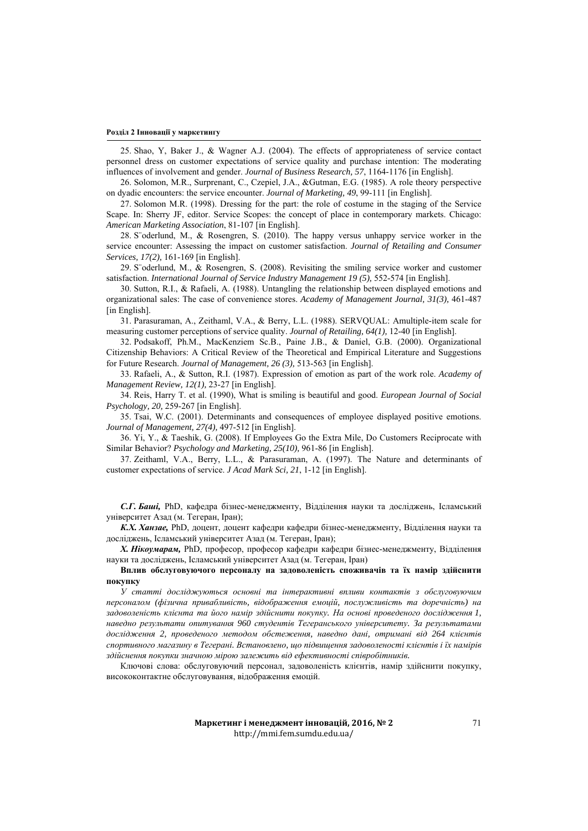25. Shao, Y, Baker J., & Wagner A.J. (2004). The effects of appropriateness of service contact personnel dress on customer expectations of service quality and purchase intention: The moderating influences of involvement and gender. *Journal of Business Research, 57*, 1164-1176 [in English].

26. Solomon, M.R., Surprenant, C., Czepiel, J.A., &Gutman, E.G. (1985). A role theory perspective on dyadic encounters: the service encounter. *Journal of Marketing, 49*, 99-111 [in English].

27. Solomon M.R. (1998). Dressing for the part: the role of costume in the staging of the Service Scape. In: Sherry JF, editor. Service Scopes: the concept of place in contemporary markets. Chicago: *American Marketing Association*, 81-107 [in English].

28. S¨oderlund, M., & Rosengren, S. (2010). The happy versus unhappy service worker in the service encounter: Assessing the impact on customer satisfaction. *Journal of Retailing and Consumer Services, 17(2),* 161-169 [in English].

29. S¨oderlund, M., & Rosengren, S. (2008). Revisiting the smiling service worker and customer satisfaction. *International Journal of Service Industry Management 19 (5),* 552-574 [in English].

30. Sutton, R.I., & Rafaeli, A. (1988). Untangling the relationship between displayed emotions and organizational sales: The case of convenience stores. *Academy of Management Journal, 31(3),* 461-487 [in English].

31. Parasuraman, A., Zeithaml, V.A., & Berry, L.L. (1988). SERVQUAL: Amultiple-item scale for measuring customer perceptions of service quality. *Journal of Retailing, 64(1),* 12-40 [in English].

32. Podsakoff, Ph.M., MacKenziem Sc.B., Paine J.B., & Daniel, G.B. (2000). Organizational Citizenship Behaviors: A Critical Review of the Theoretical and Empirical Literature and Suggestions for Future Research. *Journal of Management, 26 (3),* 513-563 [in English].

33. Rafaeli, A., & Sutton, R.I. (1987). Expression of emotion as part of the work role. *Academy of Management Review, 12(1),* 23-27 [in English].

34. Reis, Harry T. et al. (1990), What is smiling is beautiful and good. *European Journal of Social Psychology, 20,* 259-267 [in English].

35. Tsai, W.C. (2001). Determinants and consequences of employee displayed positive emotions. *Journal of Management, 27(4),* 497-512 [in English].

36. Yi, Y., & Taeshik, G. (2008). If Employees Go the Extra Mile, Do Customers Reciprocate with Similar Behavior? *Psychology and Marketing, 25(10),* 961-86 [in English].

37. Zeithaml, V.A., Berry, L.L., & Parasuraman, A. (1997). The Nature and determinants of customer expectations of service. *J Acad Mark Sci, 21*, 1-12 [in English].

*С.Г. Баші,* PhD, кафедра бізнес-менеджменту, Відділення науки та досліджень, Ісламський університет Азад (м. Тегеран, Іран);

*К.Х. Ханзае,* PhD, доцент, доцент кафедри кафедри бізнес-менеджменту, Відділення науки та досліджень, Ісламський університет Азад (м. Тегеран, Іран);

*Х. Нікоумарам,* PhD, професор, професор кафедри кафедри бізнес-менеджменту, Відділення науки та досліджень, Ісламський університет Азад (м. Тегеран, Іран)

**Вплив обслуговуючого персоналу на задоволеність споживачів та їх намір здійснити покупку** 

*У статті досліджуються основні та інтерактивні впливи контактів з обслуговуючим персоналом (фізична привабливість, відображення емоцій, послужливість та доречність) на задоволеність клієнта та його намір здійснити покупку. На основі проведеного дослідження 1, наведно результати опитування 960 студентів Тегеранського університету. За результатами дослідження 2, проведеного методом обстеження, наведно дані, отримані від 264 клієнтів спортивного магазину в Тегерані. Встановлено, що підвищення задоволеності клієнтів і їх намірів здійснення покупки значною мірою залежить від ефективності співробітників.* 

Ключові слова: обслуговуючий персонал, задоволеність клієнтів, намір здійснити покупку, висококонтактне обслуговування, відображення емоцій.